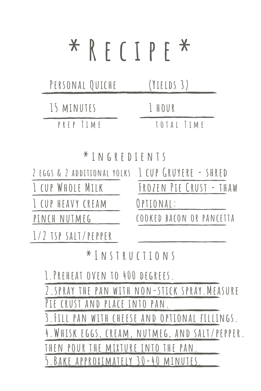# **\* R e c i p e \***

| PERSONAL QUICHE | (YIELDS 3) |
|-----------------|------------|
| 15 MINUTES      | LHOUR      |
| PREP TIME       | TOTAL TIME |

**\* i n g r e d i e n t s**

| 2 EGGS & 2 ADDITIONAL YOLKS I CUP GRUYERE - SHRED |                          |
|---------------------------------------------------|--------------------------|
| I CUP WHOLE MILK                                  | FROZEN PIE CRUST - THAW  |
| I CUP HEAVY CREAM                                 | OPTIONAL:                |
| PINCH NUTMEG                                      | COOKED BACON OR PANCETTA |
| $1/2$ TSP SALT/PEPPER                             |                          |

### **\* I n s t r u c t i o n s**

**1.Preheat oven to 400 degrees.**

**2.spray the pan with non-stick spray.Measure Pie crust and place into pan.**

**3.Fill pan with cheese and optional fillings.**

**4.Whisk eggs, cream, nutmeg, and salt/pepper.**

**then pour the mixture into the pan.**

**5.Bake approximately 30-40 minutes.**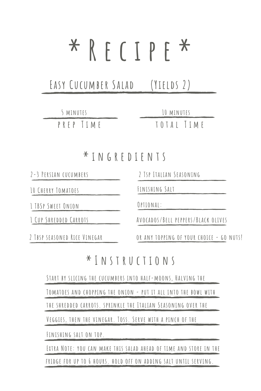# **\* R e c i p e \***

**Easy Cucumber Salad (Yields 2)**

**p r e p T i m e t o t a l T i m e 5 minutes 10 minutes**

#### **\* i n g r e d i e n t s**

**2-3 Persian cucumbers**

**10 Cherry Tomatoes**

**1 TBSp Sweet Onion**

**1 Cup Shredded Carrots**

**2 Tbsp seasoned Rice Vinegar**

**2 Tsp Italian Seasoning**

**Finishing Salt**

**Optional:**

**Avocados/Bell peppers/Black olives**

**or any topping of your choice - go nuts!**

#### **\* I n s t r u c t i o n s**

**Start by slicing the cucumbers into half-moons, Halving the**

**Tomatoes and chopping the onion - put it all into the bowl with**

**the shredded carrots. sprinkle the Italian Seasoning over the**

**Veggies, then the vinegar. Toss. Serve with a pinch of the**

**Finishing salt on top.**

**Extra Note: you can make this salad ahead of time and store in the fridge for up to 6 hours. hold off on adding salt until serving.**